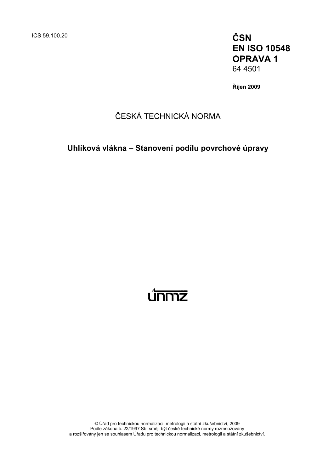ICS 59.100.20 **ČSN** 

**EN ISO 10548 OPRAVA 1**  64 4501

**Říjen 2009** 

# ČESKÁ TECHNICKÁ NORMA

**Uhlíková vlákna – Stanovení podílu povrchové úpravy** 

# <u>únmz</u>

© Úřad pro technickou normalizaci, metrologii a státní zkušebnictví, 2009 Podle zákona č. 22/1997 Sb. smějí být české technické normy rozmnožovány a rozšiřovány jen se souhlasem Úřadu pro technickou normalizaci, metrologii a státní zkušebnictví.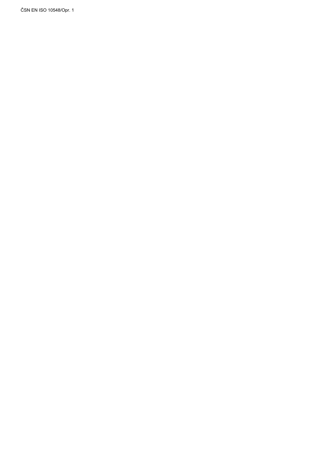ČSN EN ISO 10548/Opr. 1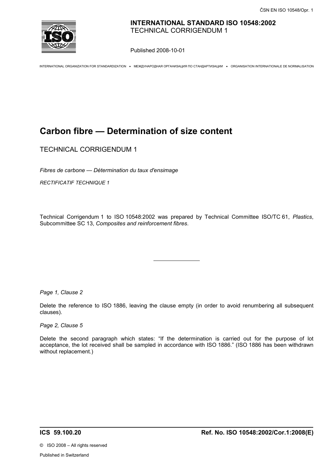

### **INTERNATIONAL STANDARD ISO 10548:2002**  TECHNICAL CORRIGENDUM 1

Published 2008-10-01

INTERNATIONAL ORGANIZATION FOR STANDARDIZATION • МЕЖДУНАРОДНАЯ ОРГАНИЗАЦИЯ ПО СТАНДАРТИЗАЦИИ • ORGANISATION INTERNATIONALE DE NORMALISATION

## **Carbon fibre — Determination of size content**

TECHNICAL CORRIGENDUM 1

*Fibres de carbone — Détermination du taux d'ensimage*

*RECTIFICATIF TECHNIQUE 1*

Technical Corrigendum 1 to ISO 10548:2002 was prepared by Technical Committee ISO/TC 61, *Plastics*, Subcommittee SC 13, *Composites and reinforcement fibres*.

 $\overline{a}$ 

*Page 1, Clause 2* 

Delete the reference to ISO 1886, leaving the clause empty (in order to avoid renumbering all subsequent clauses).

*Page 2, Clause 5* 

Delete the second paragraph which states: "If the determination is carried out for the purpose of lot acceptance, the lot received shall be sampled in accordance with ISO 1886." (ISO 1886 has been withdrawn without replacement.)

©ISO 2008 – All rights reserved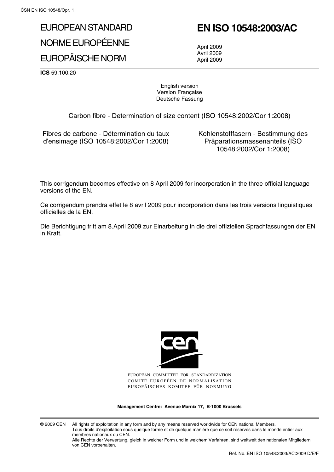# EUROPEAN STANDARD NORME EUROPÉENNE

### EUROPÄISCHE NORM

# **EN ISO 10548:2003/AC**

April 2009 Avril 2009 April 2009

**ICS** 59.100.20

English version Version Française Deutsche Fassung

Carbon fibre - Determination of size content (ISO 10548:2002/Cor 1:2008)

Fibres de carbone - Détermination du taux d'ensimage (ISO 10548:2002/Cor 1:2008)

Kohlenstofffasern - Bestimmung des Präparationsmassenanteils (ISO 10548:2002/Cor 1:2008)

This corrigendum becomes effective on 8 April 2009 for incorporation in the three official language versions of the EN.

Ce corrigendum prendra effet le 8 avril 2009 pour incorporation dans les trois versions linguistiques officielles de la EN.

Die Berichtigung tritt am 8.April 2009 zur Einarbeitung in die drei offiziellen Sprachfassungen der EN in Kraft.



EUROPEAN COMMITTEE FOR STANDARDIZATION COMITÉ EUROPÉEN DE NORMALISATION EUROPÄISCHES KOMITEE FÜR NORMUNG

**Management Centre: Avenue Marnix 17, B-1000 Brussels**

© 2009 CEN All rights of exploitation in any form and by any means reserved worldwide for CEN national Members. Tous droits d'exploitation sous quelque forme et de quelque manière que ce soit réservés dans le monde entier aux membres nationaux du CEN. Alle Rechte der Verwertung, gleich in welcher Form und in welchem Verfahren, sind weltweit den nationalen Mitgliedern

von CEN vorbehalten.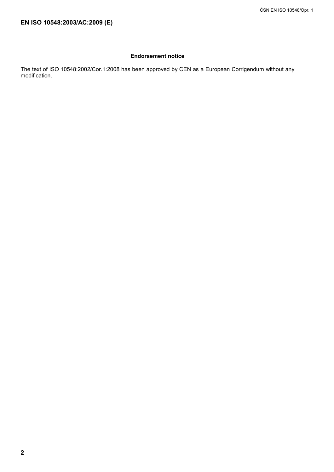### **Endorsement notice**

The text of ISO 10548:2002/Cor.1:2008 has been approved by CEN as a European Corrigendum without any modification.